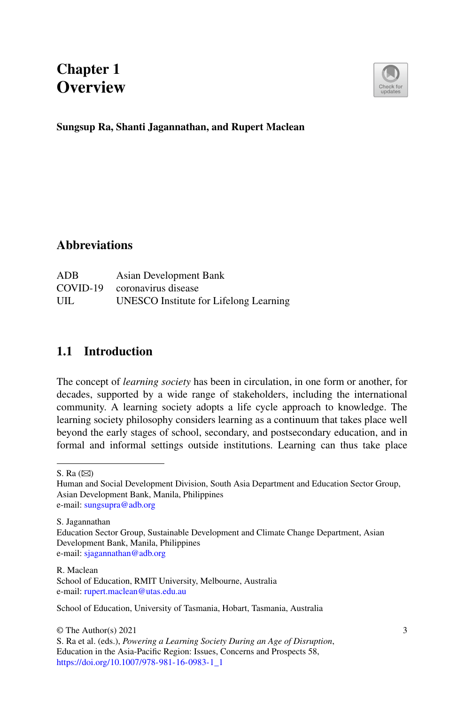# **Chapter 1 Overview**



#### **Sungsup Ra, Shanti Jagannathan, and Rupert Maclean**

### **Abbreviations**

| ADB | Asian Development Bank                 |
|-----|----------------------------------------|
|     | COVID-19 coronavirus disease           |
| UIL | UNESCO Institute for Lifelong Learning |

## **1.1 Introduction**

The concept of *learning society* has been in circulation, in one form or another, for decades, supported by a wide range of stakeholders, including the international community. A learning society adopts a life cycle approach to knowledge. The learning society philosophy considers learning as a continuum that takes place well beyond the early stages of school, secondary, and postsecondary education, and in formal and informal settings outside institutions. Learning can thus take place

School of Education, University of Tasmania, Hobart, Tasmania, Australia

© The Author(s) 2021 S. Ra et al. (eds.), *Powering a Learning Society During an Age of Disruption*, Education in the Asia-Pacific Region: Issues, Concerns and Prospects 58, [https://doi.org/10.1007/978-981-16-0983-1\\_1](https://doi.org/10.1007/978-981-16-0983-1_1)

S. Ra $(\boxtimes)$ 

Human and Social Development Division, South Asia Department and Education Sector Group, Asian Development Bank, Manila, Philippines e-mail: [sungsupra@adb.org](mailto:sungsupra@adb.org)

S. Jagannathan

Education Sector Group, Sustainable Development and Climate Change Department, Asian Development Bank, Manila, Philippines e-mail: [sjagannathan@adb.org](mailto:sjagannathan@adb.org)

R. Maclean School of Education, RMIT University, Melbourne, Australia e-mail: [rupert.maclean@utas.edu.au](mailto:rupert.maclean@utas.edu.au)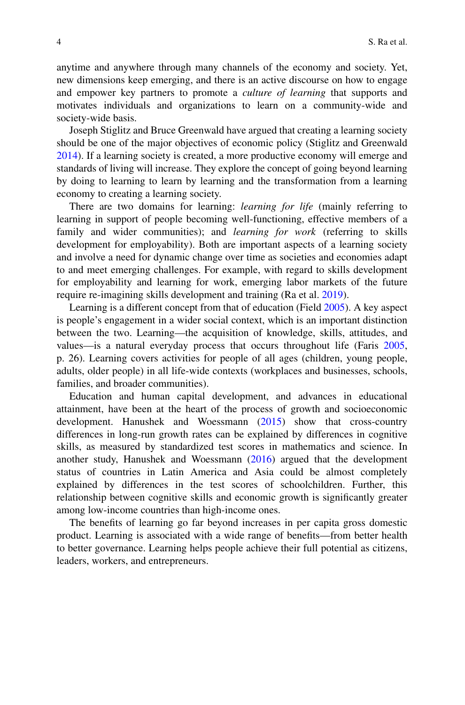anytime and anywhere through many channels of the economy and society. Yet, new dimensions keep emerging, and there is an active discourse on how to engage and empower key partners to promote a *culture of learning* that supports and motivates individuals and organizations to learn on a community-wide and society-wide basis.

Joseph Stiglitz and Bruce Greenwald have argued that creating a learning society should be one of the major objectives of economic policy (Stiglitz and Greenwald [2014\)](#page-9-0). If a learning society is created, a more productive economy will emerge and standards of living will increase. They explore the concept of going beyond learning by doing to learning to learn by learning and the transformation from a learning economy to creating a learning society.

There are two domains for learning: *learning for life* (mainly referring to learning in support of people becoming well-functioning, effective members of a family and wider communities); and *learning for work* (referring to skills development for employability). Both are important aspects of a learning society and involve a need for dynamic change over time as societies and economies adapt to and meet emerging challenges. For example, with regard to skills development for employability and learning for work, emerging labor markets of the future require re-imagining skills development and training (Ra et al. [2019\)](#page-9-1).

Learning is a different concept from that of education (Field [2005\)](#page-9-2). A key aspect is people's engagement in a wider social context, which is an important distinction between the two. Learning—the acquisition of knowledge, skills, attitudes, and values—is a natural everyday process that occurs throughout life (Faris [2005,](#page-9-3) p. 26). Learning covers activities for people of all ages (children, young people, adults, older people) in all life-wide contexts (workplaces and businesses, schools, families, and broader communities).

Education and human capital development, and advances in educational attainment, have been at the heart of the process of growth and socioeconomic development. Hanushek and Woessmann [\(2015\)](#page-9-4) show that cross-country differences in long-run growth rates can be explained by differences in cognitive skills, as measured by standardized test scores in mathematics and science. In another study, Hanushek and Woessmann [\(2016\)](#page-9-5) argued that the development status of countries in Latin America and Asia could be almost completely explained by differences in the test scores of schoolchildren. Further, this relationship between cognitive skills and economic growth is significantly greater among low-income countries than high-income ones.

The benefits of learning go far beyond increases in per capita gross domestic product. Learning is associated with a wide range of benefits—from better health to better governance. Learning helps people achieve their full potential as citizens, leaders, workers, and entrepreneurs.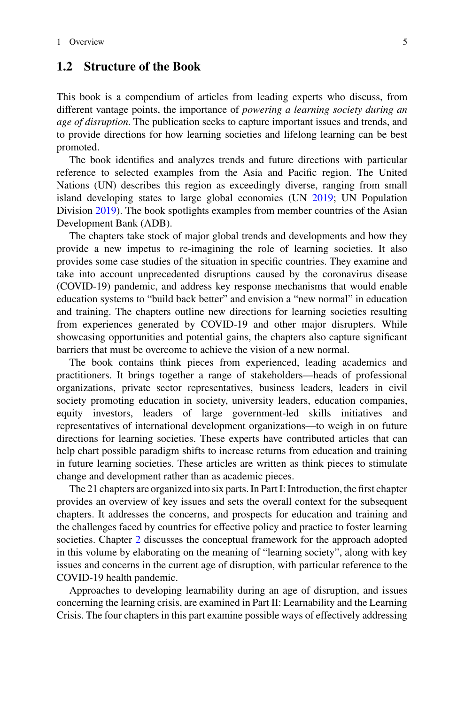#### **1.2 Structure of the Book**

This book is a compendium of articles from leading experts who discuss, from different vantage points, the importance of *powering a learning society during an age of disruption*. The publication seeks to capture important issues and trends, and to provide directions for how learning societies and lifelong learning can be best promoted.

The book identifies and analyzes trends and future directions with particular reference to selected examples from the Asia and Pacific region. The United Nations (UN) describes this region as exceedingly diverse, ranging from small island developing states to large global economies (UN [2019;](#page-9-6) UN Population Division [2019\)](#page-10-0). The book spotlights examples from member countries of the Asian Development Bank (ADB).

The chapters take stock of major global trends and developments and how they provide a new impetus to re-imagining the role of learning societies. It also provides some case studies of the situation in specific countries. They examine and take into account unprecedented disruptions caused by the coronavirus disease (COVID-19) pandemic, and address key response mechanisms that would enable education systems to "build back better" and envision a "new normal" in education and training. The chapters outline new directions for learning societies resulting from experiences generated by COVID-19 and other major disrupters. While showcasing opportunities and potential gains, the chapters also capture significant barriers that must be overcome to achieve the vision of a new normal.

The book contains think pieces from experienced, leading academics and practitioners. It brings together a range of stakeholders—heads of professional organizations, private sector representatives, business leaders, leaders in civil society promoting education in society, university leaders, education companies, equity investors, leaders of large government-led skills initiatives and representatives of international development organizations—to weigh in on future directions for learning societies. These experts have contributed articles that can help chart possible paradigm shifts to increase returns from education and training in future learning societies. These articles are written as think pieces to stimulate change and development rather than as academic pieces.

The 21 chapters are organized into six parts. In Part I: Introduction, the first chapter provides an overview of key issues and sets the overall context for the subsequent chapters. It addresses the concerns, and prospects for education and training and the challenges faced by countries for effective policy and practice to foster learning societies. Chapter 2 discusses the conceptual framework for the approach adopted in this volume by elaborating on the meaning of "learning society", along with key issues and concerns in the current age of disruption, with particular reference to the COVID-19 health pandemic.

Approaches to developing learnability during an age of disruption, and issues concerning the learning crisis, are examined in Part II: Learnability and the Learning Crisis. The four chapters in this part examine possible ways of effectively addressing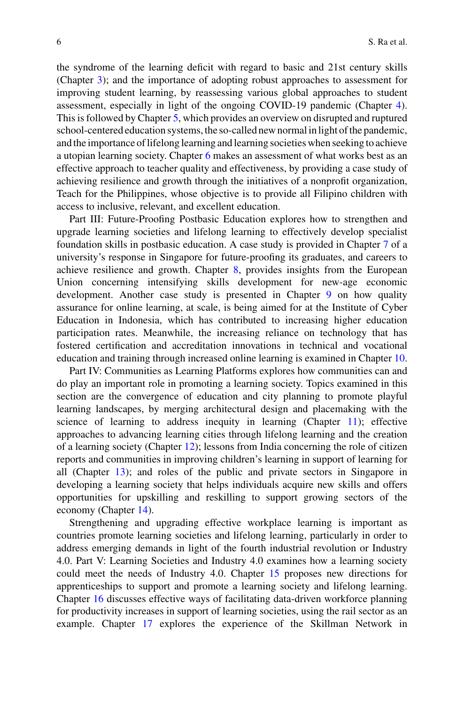the syndrome of the learning deficit with regard to basic and 21st century skills (Chapter 3); and the importance of adopting robust approaches to assessment for improving student learning, by reassessing various global approaches to student assessment, especially in light of the ongoing COVID-19 pandemic (Chapter 4). This is followed by Chapter 5, which provides an overview on disrupted and ruptured school-centered education systems, the so-called new normal in light of the pandemic, and the importance of lifelong learning and learning societies when seeking to achieve a utopian learning society. Chapter 6 makes an assessment of what works best as an effective approach to teacher quality and effectiveness, by providing a case study of achieving resilience and growth through the initiatives of a nonprofit organization, Teach for the Philippines, whose objective is to provide all Filipino children with access to inclusive, relevant, and excellent education.

Part III: Future-Proofing Postbasic Education explores how to strengthen and upgrade learning societies and lifelong learning to effectively develop specialist foundation skills in postbasic education. A case study is provided in Chapter 7 of a university's response in Singapore for future-proofing its graduates, and careers to achieve resilience and growth. Chapter 8, provides insights from the European Union concerning intensifying skills development for new-age economic development. Another case study is presented in Chapter 9 on how quality assurance for online learning, at scale, is being aimed for at the Institute of Cyber Education in Indonesia, which has contributed to increasing higher education participation rates. Meanwhile, the increasing reliance on technology that has fostered certification and accreditation innovations in technical and vocational education and training through increased online learning is examined in Chapter 10.

Part IV: Communities as Learning Platforms explores how communities can and do play an important role in promoting a learning society. Topics examined in this section are the convergence of education and city planning to promote playful learning landscapes, by merging architectural design and placemaking with the science of learning to address inequity in learning (Chapter  $11$ ); effective approaches to advancing learning cities through lifelong learning and the creation of a learning society (Chapter 12); lessons from India concerning the role of citizen reports and communities in improving children's learning in support of learning for all (Chapter 13); and roles of the public and private sectors in Singapore in developing a learning society that helps individuals acquire new skills and offers opportunities for upskilling and reskilling to support growing sectors of the economy (Chapter 14).

Strengthening and upgrading effective workplace learning is important as countries promote learning societies and lifelong learning, particularly in order to address emerging demands in light of the fourth industrial revolution or Industry 4.0. Part V: Learning Societies and Industry 4.0 examines how a learning society could meet the needs of Industry 4.0. Chapter 15 proposes new directions for apprenticeships to support and promote a learning society and lifelong learning. Chapter 16 discusses effective ways of facilitating data-driven workforce planning for productivity increases in support of learning societies, using the rail sector as an example. Chapter 17 explores the experience of the Skillman Network in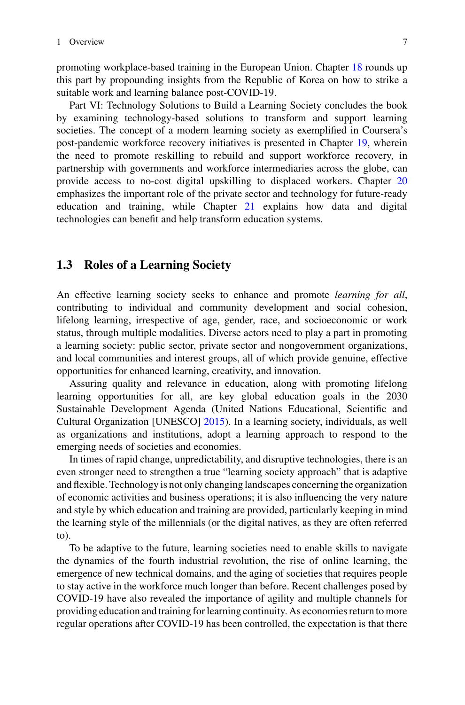promoting workplace-based training in the European Union. Chapter 18 rounds up this part by propounding insights from the Republic of Korea on how to strike a suitable work and learning balance post-COVID-19.

Part VI: Technology Solutions to Build a Learning Society concludes the book by examining technology-based solutions to transform and support learning societies. The concept of a modern learning society as exemplified in Coursera's post-pandemic workforce recovery initiatives is presented in Chapter 19, wherein the need to promote reskilling to rebuild and support workforce recovery, in partnership with governments and workforce intermediaries across the globe, can provide access to no-cost digital upskilling to displaced workers. Chapter 20 emphasizes the important role of the private sector and technology for future-ready education and training, while Chapter 21 explains how data and digital technologies can benefit and help transform education systems.

#### **1.3 Roles of a Learning Society**

An effective learning society seeks to enhance and promote *learning for all*, contributing to individual and community development and social cohesion, lifelong learning, irrespective of age, gender, race, and socioeconomic or work status, through multiple modalities. Diverse actors need to play a part in promoting a learning society: public sector, private sector and nongovernment organizations, and local communities and interest groups, all of which provide genuine, effective opportunities for enhanced learning, creativity, and innovation.

Assuring quality and relevance in education, along with promoting lifelong learning opportunities for all, are key global education goals in the 2030 Sustainable Development Agenda (United Nations Educational, Scientific and Cultural Organization [UNESCO] [2015\)](#page-10-1). In a learning society, individuals, as well as organizations and institutions, adopt a learning approach to respond to the emerging needs of societies and economies.

In times of rapid change, unpredictability, and disruptive technologies, there is an even stronger need to strengthen a true "learning society approach" that is adaptive and flexible. Technology is not only changing landscapes concerning the organization of economic activities and business operations; it is also influencing the very nature and style by which education and training are provided, particularly keeping in mind the learning style of the millennials (or the digital natives, as they are often referred to).

To be adaptive to the future, learning societies need to enable skills to navigate the dynamics of the fourth industrial revolution, the rise of online learning, the emergence of new technical domains, and the aging of societies that requires people to stay active in the workforce much longer than before. Recent challenges posed by COVID-19 have also revealed the importance of agility and multiple channels for providing education and training for learning continuity. As economies return to more regular operations after COVID-19 has been controlled, the expectation is that there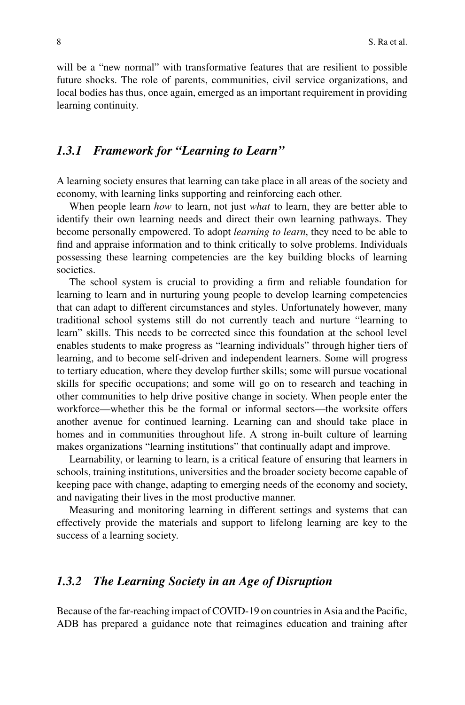will be a "new normal" with transformative features that are resilient to possible future shocks. The role of parents, communities, civil service organizations, and local bodies has thus, once again, emerged as an important requirement in providing learning continuity.

#### *1.3.1 Framework for "Learning to Learn"*

A learning society ensures that learning can take place in all areas of the society and economy, with learning links supporting and reinforcing each other.

When people learn *how* to learn, not just *what* to learn, they are better able to identify their own learning needs and direct their own learning pathways. They become personally empowered. To adopt *learning to learn*, they need to be able to find and appraise information and to think critically to solve problems. Individuals possessing these learning competencies are the key building blocks of learning societies.

The school system is crucial to providing a firm and reliable foundation for learning to learn and in nurturing young people to develop learning competencies that can adapt to different circumstances and styles. Unfortunately however, many traditional school systems still do not currently teach and nurture "learning to learn" skills. This needs to be corrected since this foundation at the school level enables students to make progress as "learning individuals" through higher tiers of learning, and to become self-driven and independent learners. Some will progress to tertiary education, where they develop further skills; some will pursue vocational skills for specific occupations; and some will go on to research and teaching in other communities to help drive positive change in society. When people enter the workforce—whether this be the formal or informal sectors—the worksite offers another avenue for continued learning. Learning can and should take place in homes and in communities throughout life. A strong in-built culture of learning makes organizations "learning institutions" that continually adapt and improve.

Learnability, or learning to learn, is a critical feature of ensuring that learners in schools, training institutions, universities and the broader society become capable of keeping pace with change, adapting to emerging needs of the economy and society, and navigating their lives in the most productive manner.

Measuring and monitoring learning in different settings and systems that can effectively provide the materials and support to lifelong learning are key to the success of a learning society.

#### *1.3.2 The Learning Society in an Age of Disruption*

Because of the far-reaching impact of COVID-19 on countries in Asia and the Pacific, ADB has prepared a guidance note that reimagines education and training after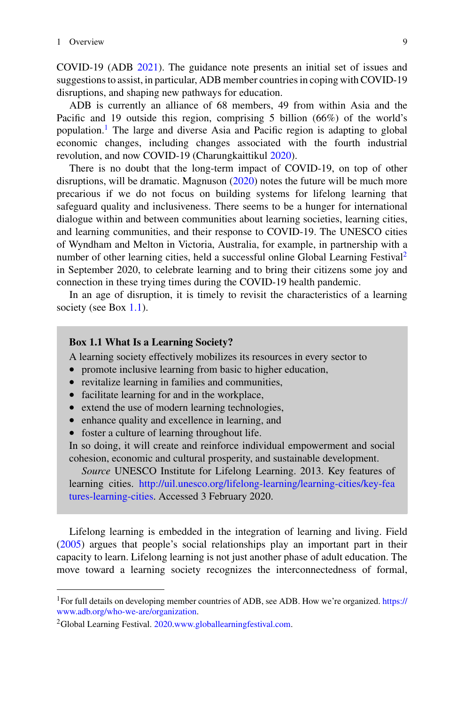COVID-19 (ADB [2021\)](#page-9-7). The guidance note presents an initial set of issues and suggestions to assist, in particular, ADB member countries in coping with COVID-19 disruptions, and shaping new pathways for education.

ADB is currently an alliance of 68 members, 49 from within Asia and the Pacific and 19 outside this region, comprising 5 billion (66%) of the world's population.<sup>1</sup> The large and diverse Asia and Pacific region is adapting to global economic changes, including changes associated with the fourth industrial revolution, and now COVID-19 (Charungkaittikul [2020\)](#page-9-8).

There is no doubt that the long-term impact of COVID-19, on top of other disruptions, will be dramatic. Magnuson [\(2020\)](#page-9-9) notes the future will be much more precarious if we do not focus on building systems for lifelong learning that safeguard quality and inclusiveness. There seems to be a hunger for international dialogue within and between communities about learning societies, learning cities, and learning communities, and their response to COVID-19. The UNESCO cities of Wyndham and Melton in Victoria, Australia, for example, in partnership with a number of other learning cities, held a successful online Global Learning Festival<sup>[2](#page-6-1)</sup> in September 2020, to celebrate learning and to bring their citizens some joy and connection in these trying times during the COVID-19 health pandemic.

In an age of disruption, it is timely to revisit the characteristics of a learning society (see Box [1.1\)](#page-6-2).

#### <span id="page-6-2"></span>**Box 1.1 What Is a Learning Society?**

A learning society effectively mobilizes its resources in every sector to

- promote inclusive learning from basic to higher education,
- revitalize learning in families and communities,
- facilitate learning for and in the workplace,
- extend the use of modern learning technologies,
- enhance quality and excellence in learning, and
- foster a culture of learning throughout life.

In so doing, it will create and reinforce individual empowerment and social cohesion, economic and cultural prosperity, and sustainable development.

*Source* UNESCO Institute for Lifelong Learning. 2013. Key features of learning cities. [http://uil.unesco.org/lifelong-learning/learning-cities/key-fea](http://uil.unesco.org/lifelong-learning/learning-cities/key-features-learning-cities) tures-learning-cities. Accessed 3 February 2020.

Lifelong learning is embedded in the integration of learning and living. Field [\(2005\)](#page-9-2) argues that people's social relationships play an important part in their capacity to learn. Lifelong learning is not just another phase of adult education. The move toward a learning society recognizes the interconnectedness of formal,

<span id="page-6-1"></span><span id="page-6-0"></span><sup>&</sup>lt;sup>1</sup> For full details on developing member countries of ADB, see ADB. How we're organized. https:// www.adb.org/who-we-are/organization.

<sup>&</sup>lt;sup>2</sup>Global Learning Festival. [2020.](#page-9-10)[www.globallearningfestival.com.](http://www.globallearningfestival.com)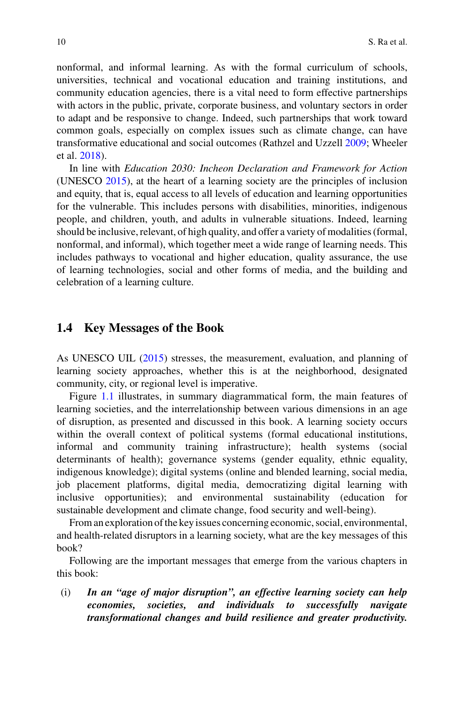nonformal, and informal learning. As with the formal curriculum of schools, universities, technical and vocational education and training institutions, and community education agencies, there is a vital need to form effective partnerships with actors in the public, private, corporate business, and voluntary sectors in order to adapt and be responsive to change. Indeed, such partnerships that work toward common goals, especially on complex issues such as climate change, can have transformative educational and social outcomes (Rathzel and Uzzell [2009;](#page-9-11) Wheeler et al. [2018\)](#page-10-2).

In line with *Education 2030: Incheon Declaration and Framework for Action* (UNESCO [2015\)](#page-10-1), at the heart of a learning society are the principles of inclusion and equity, that is, equal access to all levels of education and learning opportunities for the vulnerable. This includes persons with disabilities, minorities, indigenous people, and children, youth, and adults in vulnerable situations. Indeed, learning should be inclusive, relevant, of high quality, and offer a variety of modalities (formal, nonformal, and informal), which together meet a wide range of learning needs. This includes pathways to vocational and higher education, quality assurance, the use of learning technologies, social and other forms of media, and the building and celebration of a learning culture.

#### **1.4 Key Messages of the Book**

As UNESCO UIL [\(2015\)](#page-10-1) stresses, the measurement, evaluation, and planning of learning society approaches, whether this is at the neighborhood, designated community, city, or regional level is imperative.

Figure [1.1](#page-8-0) illustrates, in summary diagrammatical form, the main features of learning societies, and the interrelationship between various dimensions in an age of disruption, as presented and discussed in this book. A learning society occurs within the overall context of political systems (formal educational institutions, informal and community training infrastructure); health systems (social determinants of health); governance systems (gender equality, ethnic equality, indigenous knowledge); digital systems (online and blended learning, social media, job placement platforms, digital media, democratizing digital learning with inclusive opportunities); and environmental sustainability (education for sustainable development and climate change, food security and well-being).

From an exploration of the key issues concerning economic, social, environmental, and health-related disruptors in a learning society, what are the key messages of this book?

Following are the important messages that emerge from the various chapters in this book:

(i) *In an "age of major disruption", an effective learning society can help economies, societies, and individuals to successfully navigate transformational changes and build resilience and greater productivity.*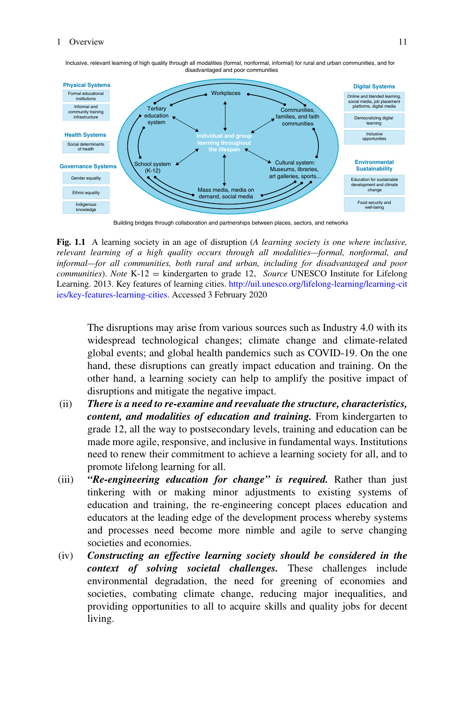

Inclusive, relevant learning of high quality through all modalities (formal, nonformal, informal} for rural and urban communities, and for disadvantaged and poor communities

Building bridges through collaboration and partnerships between places, sectors, and networks

<span id="page-8-0"></span>**Fig. 1.1** A learning society in an age of disruption (*A learning society is one where inclusive, relevant learning of a high quality occurs through all modalities—formal, nonformal, and informal—for all communities, both rural and urban, including for disadvantaged and poor communities*). *Note* K-12 = kindergarten to grade 12, *Source* UNESCO Institute for Lifelong Learning. 2013. Key features of learning cities. http://uil.unesco.org/lifelong-learning/learning-cit [ies/key-features-learning-cities. Accessed 3 February 2020](http://uil.unesco.org/lifelong-learning/learning-cities/key-features-learning-cities)

The disruptions may arise from various sources such as Industry 4.0 with its widespread technological changes; climate change and climate-related global events; and global health pandemics such as COVID-19. On the one hand, these disruptions can greatly impact education and training. On the other hand, a learning society can help to amplify the positive impact of disruptions and mitigate the negative impact.

- (ii) *There is a need to re-examine and reevaluate the structure, characteristics, content, and modalities of education and training.* From kindergarten to grade 12, all the way to postsecondary levels, training and education can be made more agile, responsive, and inclusive in fundamental ways. Institutions need to renew their commitment to achieve a learning society for all, and to promote lifelong learning for all.
- (iii) *"Re-engineering education for change" is required.* Rather than just tinkering with or making minor adjustments to existing systems of education and training, the re-engineering concept places education and educators at the leading edge of the development process whereby systems and processes need become more nimble and agile to serve changing societies and economies.
- (iv) *Constructing an effective learning society should be considered in the context of solving societal challenges.* These challenges include environmental degradation, the need for greening of economies and societies, combating climate change, reducing major inequalities, and providing opportunities to all to acquire skills and quality jobs for decent living.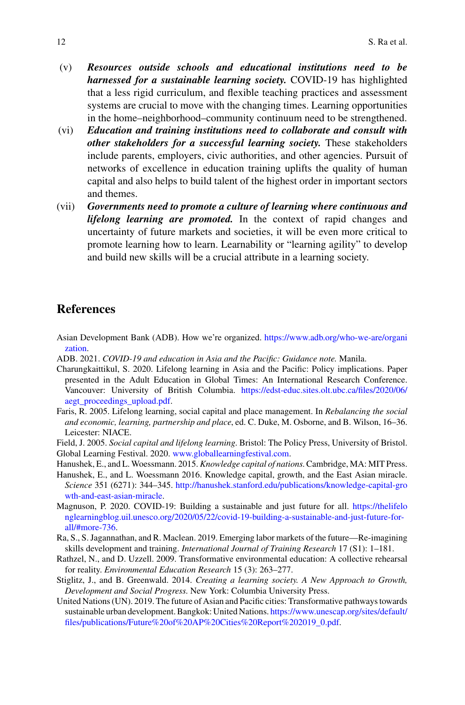- (v) *Resources outside schools and educational institutions need to be harnessed for a sustainable learning society.* COVID-19 has highlighted that a less rigid curriculum, and flexible teaching practices and assessment systems are crucial to move with the changing times. Learning opportunities in the home–neighborhood–community continuum need to be strengthened.
- (vi) *Education and training institutions need to collaborate and consult with other stakeholders for a successful learning society.* These stakeholders include parents, employers, civic authorities, and other agencies. Pursuit of networks of excellence in education training uplifts the quality of human capital and also helps to build talent of the highest order in important sectors and themes.
- (vii) *Governments need to promote a culture of learning where continuous and lifelong learning are promoted.* In the context of rapid changes and uncertainty of future markets and societies, it will be even more critical to promote learning how to learn. Learnability or "learning agility" to develop and build new skills will be a crucial attribute in a learning society.

#### **References**

- [Asian Development Bank \(ADB\). How we're organized.](https://www.adb.org/who-we-are/organization) https://www.adb.org/who-we-are/organi zation.
- <span id="page-9-7"></span>ADB. 2021. *COVID-19 and education in Asia and the Pacific: Guidance note.* Manila.
- <span id="page-9-8"></span>Charungkaittikul, S. 2020. Lifelong learning in Asia and the Pacific: Policy implications. Paper presented in the Adult Education in Global Times: An International Research Conference. [Vancouver: University of British Columbia.](https://edst-educ.sites.olt.ubc.ca/files/2020/06/aegt_proceedings_upload.pdf) https://edst-educ.sites.olt.ubc.ca/files/2020/06/ aegt\_proceedings\_upload.pdf.
- <span id="page-9-3"></span>Faris, R. 2005. Lifelong learning, social capital and place management. In *Rebalancing the social and economic, learning, partnership and place*, ed. C. Duke, M. Osborne, and B. Wilson, 16–36. Leicester: NIACE.
- <span id="page-9-2"></span>Field, J. 2005. *Social capital and lifelong learning*. Bristol: The Policy Press, University of Bristol. Global Learning Festival. 2020. [www.globallearningfestival.com.](http://www.globallearningfestival.com)
- <span id="page-9-10"></span><span id="page-9-4"></span>Hanushek, E., and L. Woessmann. 2015. *Knowledge capital of nations*. Cambridge, MA: MIT Press.
- <span id="page-9-5"></span>Hanushek, E., and L. Woessmann 2016. Knowledge capital, growth, and the East Asian miracle. *Science* 351 (6271): 344–345. [http://hanushek.stanford.edu/publications/knowledge-capital-gro](http://hanushek.stanford.edu/publications/knowledge-capital-growth-and-east-asian-miracle) wth-and-east-asian-miracle.
- <span id="page-9-9"></span>Magnuson, P. 2020. COVID-19: Building a sustainable and just future for all. https://thelifelo [nglearningblog.uil.unesco.org/2020/05/22/covid-19-building-a-sustainable-and-just-future-for](https://thelifelonglearningblog.uil.unesco.org/2020/05/22/covid-19-building-a-sustainable-and-just-future-for-all/#more-736)all/#more-736.
- <span id="page-9-1"></span>Ra, S., S. Jagannathan, and R. Maclean. 2019. Emerging labor markets of the future—Re-imagining skills development and training. *International Journal of Training Research* 17 (S1): 1–181.
- <span id="page-9-11"></span>Rathzel, N., and D. Uzzell. 2009. Transformative environmental education: A collective rehearsal for reality. *Environmental Education Research* 15 (3): 263–277.
- <span id="page-9-0"></span>Stiglitz, J., and B. Greenwald. 2014. *Creating a learning society. A New Approach to Growth, Development and Social Progress*. New York: Columbia University Press.
- <span id="page-9-6"></span>United Nations (UN). 2019. The future of Asian and Pacific cities: Transformative pathways towards sustainable urban development. Bangkok: United Nations. https://www.unescap.org/sites/default/ [files/publications/Future%20of%20AP%20Cities%20Report%202019\\_0.pdf.](https://www.unescap.org/sites/default/files/publications/Future%20of%20AP%20Cities%20Report%202019_0.pdf)